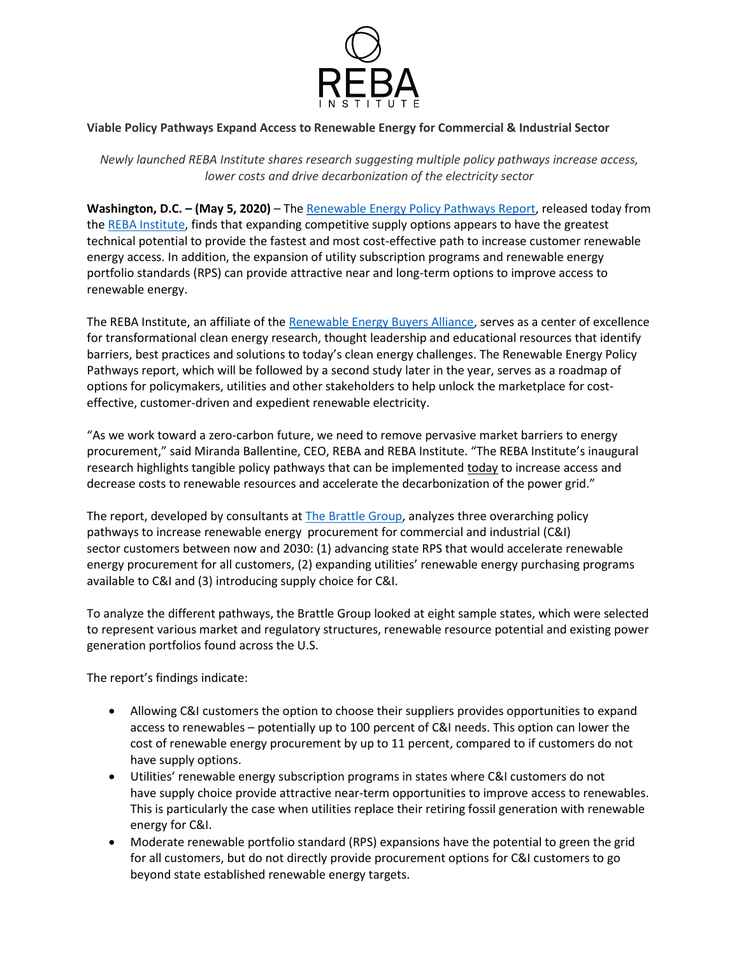

## **Viable Policy Pathways Expand Access to Renewable Energy for Commercial & Industrial Sector**

*Newly launched REBA Institute shares research suggesting multiple policy pathways increase access, lower costs and drive decarbonization of the electricity sector*

**Washington, D.C. – (May 5, 2020)** – The [Renewable Energy Policy Pathways Report,](https://reba-institute.org/research/) released today from th[e REBA Institute,](https://reba-institute.org/research/) finds that expanding competitive supply options appears to have the greatest technical potential to provide the fastest and most cost-effective path to increase customer renewable energy access. In addition, the expansion of utility subscription programs and renewable energy portfolio standards (RPS) can provide attractive near and long-term options to improve access to renewable energy.

The REBA Institute, an affiliate of the [Renewable Energy Buyers Alliance,](http://rebuyers.org/) serves as a center of excellence for transformational clean energy research, thought leadership and educational resources that identify barriers, best practices and solutions to today's clean energy challenges. The Renewable Energy Policy Pathways report, which will be followed by a second study later in the year, serves as a roadmap of options for policymakers, utilities and other stakeholders to help unlock the marketplace for costeffective, customer-driven and expedient renewable electricity.

"As we work toward a zero-carbon future, we need to remove pervasive market barriers to energy procurement," said Miranda Ballentine, CEO, REBA and REBA Institute. "The REBA Institute's inaugural research highlights tangible policy pathways that can be implemented today to increase access and decrease costs to renewable resources and accelerate the decarbonization of the power grid."

The report, developed by consultants at [The Brattle Group,](https://www.brattle.com/) analyzes three overarching policy pathways to increase renewable energy procurement for commercial and industrial (C&I) sector customers between now and 2030: (1) advancing state RPS that would accelerate renewable energy procurement for all customers, (2) expanding utilities' renewable energy purchasing programs available to C&I and (3) introducing supply choice for C&I.

To analyze the different pathways, the Brattle Group looked at eight sample states, which were selected to represent various market and regulatory structures, renewable resource potential and existing power generation portfolios found across the U.S.

The report's findings indicate:

- Allowing C&I customers the option to choose their suppliers provides opportunities to expand access to renewables – potentially up to 100 percent of C&I needs. This option can lower the cost of renewable energy procurement by up to 11 percent, compared to if customers do not have supply options.
- Utilities' renewable energy subscription programs in states where C&I customers do not have supply choice provide attractive near-term opportunities to improve access to renewables. This is particularly the case when utilities replace their retiring fossil generation with renewable energy for C&I.
- Moderate renewable portfolio standard (RPS) expansions have the potential to green the grid for all customers, but do not directly provide procurement options for C&I customers to go beyond state established renewable energy targets.